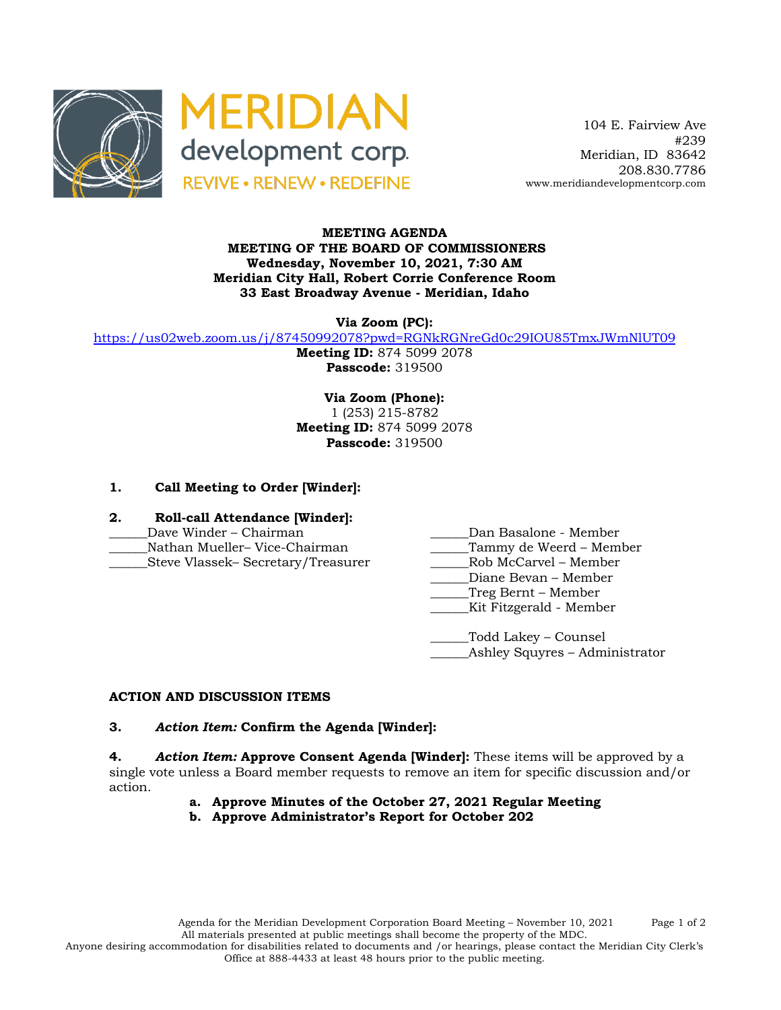



 104 E. Fairview Ave #239 Meridian, ID 83642 208.830.7786 www.meridiandevelopmentcorp.com

### **MEETING AGENDA MEETING OF THE BOARD OF COMMISSIONERS Wednesday, November 10, 2021, 7:30 AM Meridian City Hall, Robert Corrie Conference Room 33 East Broadway Avenue - Meridian, Idaho**

**Via Zoom (PC):**

https://us02web.zoom.us/j/87450992078?pwd=RGNkRGNreGd0c29IOU85TmxJWmNlUT09

**Meeting ID:** 874 5099 2078 **Passcode:** 319500

**Via Zoom (Phone):** 1 (253) 215-8782 **Meeting ID:** 874 5099 2078 **Passcode:** 319500

# **1. Call Meeting to Order [Winder]:**

- **2. Roll-call Attendance [Winder]:**
- 
- Nathan Mueller– Vice-Chairman and Tammy de Weerd Member
- \_\_\_\_\_\_Steve Vlassek– Secretary/Treasurer \_\_\_\_\_\_Rob McCarvel Member
- \_\_\_\_\_\_Dave Winder Chairman \_\_\_\_\_\_Dan Basalone Member
	-
	-
	- \_\_\_\_\_\_Diane Bevan Member
	- \_\_\_\_\_\_Treg Bernt Member
	- \_\_\_\_\_\_Kit Fitzgerald Member

\_\_\_\_\_\_Todd Lakey – Counsel Ashley Squyres – Administrator

# **ACTION AND DISCUSSION ITEMS**

#### **3.** *Action Item:* **Confirm the Agenda [Winder]:**

**4.** *Action Item:* **Approve Consent Agenda [Winder]:** These items will be approved by a single vote unless a Board member requests to remove an item for specific discussion and/or action.

- **a. Approve Minutes of the October 27, 2021 Regular Meeting**
- **b. Approve Administrator's Report for October 202**